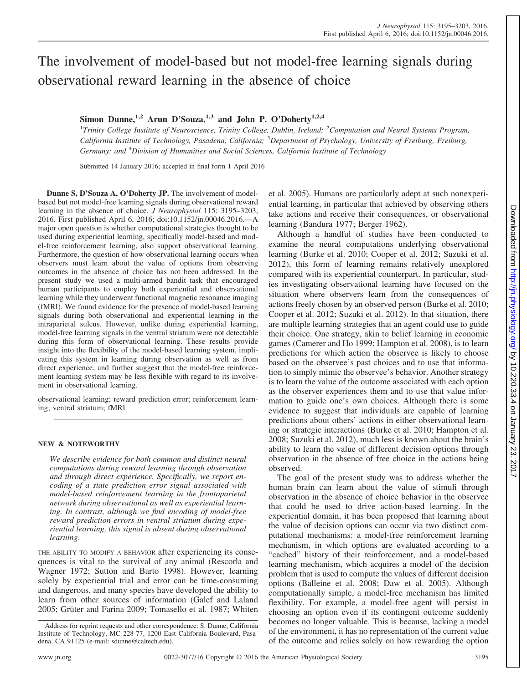# The involvement of model-based but not model-free learning signals during observational reward learning in the absence of choice

**Simon Dunne,1,2 Arun D'Souza,1,3 and John P. O'Doherty1,2,4**

<sup>1</sup>Trinity College Institute of Neuroscience, Trinity College, Dublin, Ireland; <sup>2</sup>Computation and Neural Systems Program, *California Institute of Technology, Pasadena, California;* <sup>3</sup> *Department of Psychology, University of Freiburg, Freiburg, Germany; and* <sup>4</sup> *Division of Humanities and Social Sciences, California Institute of Technology*

Submitted 14 January 2016; accepted in final form 1 April 2016

**Dunne S, D'Souza A, O'Doherty JP.** The involvement of modelbased but not model-free learning signals during observational reward learning in the absence of choice. *J Neurophysiol* 115: 3195–3203, 2016. First published April 6, 2016; doi:10.1152/jn.00046.2016.—A major open question is whether computational strategies thought to be used during experiential learning, specifically model-based and model-free reinforcement learning, also support observational learning. Furthermore, the question of how observational learning occurs when observers must learn about the value of options from observing outcomes in the absence of choice has not been addressed. In the present study we used a multi-armed bandit task that encouraged human participants to employ both experiential and observational learning while they underwent functional magnetic resonance imaging (fMRI). We found evidence for the presence of model-based learning signals during both observational and experiential learning in the intraparietal sulcus. However, unlike during experiential learning, model-free learning signals in the ventral striatum were not detectable during this form of observational learning. These results provide insight into the flexibility of the model-based learning system, implicating this system in learning during observation as well as from direct experience, and further suggest that the model-free reinforcement learning system may be less flexible with regard to its involvement in observational learning.

observational learning; reward prediction error; reinforcement learning; ventral striatum; fMRI

# **NEW & NOTEWORTHY**

*We describe evidence for both common and distinct neural computations during reward learning through observation and through direct experience. Specifically, we report encoding of a state prediction error signal associated with model-based reinforcement learning in the frontoparietal network during observational as well as experiential learning. In contrast, although we find encoding of model-free reward prediction errors in ventral striatum during experiential learning, this signal is absent during observational learning*.

THE ABILITY TO MODIFY A BEHAVIOR after experiencing its consequences is vital to the survival of any animal (Rescorla and Wagner 1972; Sutton and Barto 1998). However, learning solely by experiential trial and error can be time-consuming and dangerous, and many species have developed the ability to learn from other sources of information (Galef and Laland 2005; Grüter and Farina 2009; Tomasello et al. 1987; Whiten et al. 2005). Humans are particularly adept at such nonexperiential learning, in particular that achieved by observing others take actions and receive their consequences, or observational learning (Bandura 1977; Berger 1962).

Although a handful of studies have been conducted to examine the neural computations underlying observational learning (Burke et al. 2010; Cooper et al. 2012; Suzuki et al. 2012), this form of learning remains relatively unexplored compared with its experiential counterpart. In particular, studies investigating observational learning have focused on the situation where observers learn from the consequences of actions freely chosen by an observed person (Burke et al. 2010; Cooper et al. 2012; Suzuki et al. 2012). In that situation, there are multiple learning strategies that an agent could use to guide their choice. One strategy, akin to belief learning in economic games (Camerer and Ho 1999; Hampton et al. 2008), is to learn predictions for which action the observee is likely to choose based on the observee's past choices and to use that information to simply mimic the observee's behavior. Another strategy is to learn the value of the outcome associated with each option as the observer experiences them and to use that value information to guide one's own choices. Although there is some evidence to suggest that individuals are capable of learning predictions about others' actions in either observational learning or strategic interactions (Burke et al. 2010; Hampton et al. 2008; Suzuki et al. 2012), much less is known about the brain's ability to learn the value of different decision options through observation in the absence of free choice in the actions being observed.

The goal of the present study was to address whether the human brain can learn about the value of stimuli through observation in the absence of choice behavior in the observee that could be used to drive action-based learning. In the experiential domain, it has been proposed that learning about the value of decision options can occur via two distinct computational mechanisms: a model-free reinforcement learning mechanism, in which options are evaluated according to a "cached" history of their reinforcement, and a model-based learning mechanism, which acquires a model of the decision problem that is used to compute the values of different decision options (Balleine et al. 2008; Daw et al. 2005). Although computationally simple, a model-free mechanism has limited flexibility. For example, a model-free agent will persist in choosing an option even if its contingent outcome suddenly becomes no longer valuable. This is because, lacking a model of the environment, it has no representation of the current value of the outcome and relies solely on how rewarding the option

Address for reprint requests and other correspondence: S. Dunne, California Institute of Technology, MC 228-77, 1200 East California Boulevard, Pasadena, CA 91125 (e-mail: [sdunne@caltech.edu\)](mailto:sdunne@caltech.edu).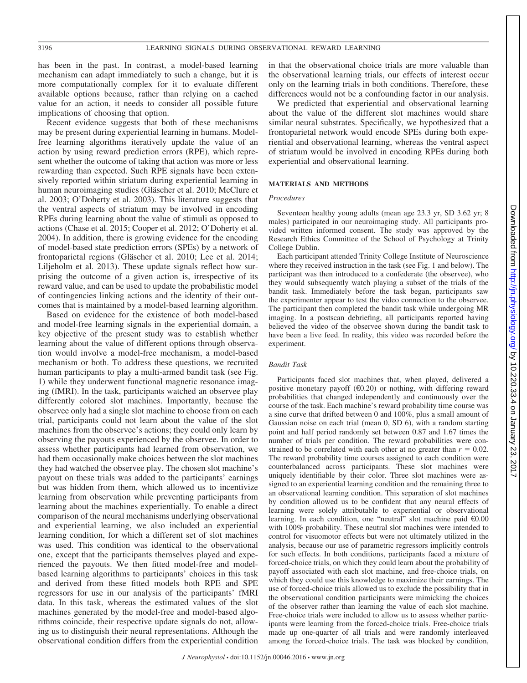has been in the past. In contrast, a model-based learning mechanism can adapt immediately to such a change, but it is more computationally complex for it to evaluate different available options because, rather than relying on a cached value for an action, it needs to consider all possible future implications of choosing that option.

Recent evidence suggests that both of these mechanisms may be present during experiential learning in humans. Modelfree learning algorithms iteratively update the value of an action by using reward prediction errors (RPE), which represent whether the outcome of taking that action was more or less rewarding than expected. Such RPE signals have been extensively reported within striatum during experiential learning in human neuroimaging studies (Gläscher et al. 2010; McClure et al. 2003; O'Doherty et al. 2003). This literature suggests that the ventral aspects of striatum may be involved in encoding RPEs during learning about the value of stimuli as opposed to actions (Chase et al. 2015; Cooper et al. 2012; O'Doherty et al. 2004). In addition, there is growing evidence for the encoding of model-based state prediction errors (SPEs) by a network of frontoparietal regions (Gläscher et al. 2010; Lee et al. 2014; Liljeholm et al. 2013). These update signals reflect how surprising the outcome of a given action is, irrespective of its reward value, and can be used to update the probabilistic model of contingencies linking actions and the identity of their outcomes that is maintained by a model-based learning algorithm.

Based on evidence for the existence of both model-based and model-free learning signals in the experiential domain, a key objective of the present study was to establish whether learning about the value of different options through observation would involve a model-free mechanism, a model-based mechanism or both. To address these questions, we recruited human participants to play a multi-armed bandit task (see Fig. 1) while they underwent functional magnetic resonance imaging (fMRI). In the task, participants watched an observee play differently colored slot machines. Importantly, because the observee only had a single slot machine to choose from on each trial, participants could not learn about the value of the slot machines from the observee's actions; they could only learn by observing the payouts experienced by the observee. In order to assess whether participants had learned from observation, we had them occasionally make choices between the slot machines they had watched the observee play. The chosen slot machine's payout on these trials was added to the participants' earnings but was hidden from them, which allowed us to incentivize learning from observation while preventing participants from learning about the machines experientially. To enable a direct comparison of the neural mechanisms underlying observational and experiential learning, we also included an experiential learning condition, for which a different set of slot machines was used. This condition was identical to the observational one, except that the participants themselves played and experienced the payouts. We then fitted model-free and modelbased learning algorithms to participants' choices in this task and derived from these fitted models both RPE and SPE regressors for use in our analysis of the participants' fMRI data. In this task, whereas the estimated values of the slot machines generated by the model-free and model-based algorithms coincide, their respective update signals do not, allowing us to distinguish their neural representations. Although the observational condition differs from the experiential condition

in that the observational choice trials are more valuable than the observational learning trials, our effects of interest occur only on the learning trials in both conditions. Therefore, these differences would not be a confounding factor in our analysis.

We predicted that experiential and observational learning about the value of the different slot machines would share similar neural substrates. Specifically, we hypothesized that a frontoparietal network would encode SPEs during both experiential and observational learning, whereas the ventral aspect of striatum would be involved in encoding RPEs during both experiential and observational learning.

# **MATERIALS AND METHODS**

# *Procedures*

Seventeen healthy young adults (mean age 23.3 yr, SD 3.62 yr; 8 males) participated in our neuroimaging study. All participants provided written informed consent. The study was approved by the Research Ethics Committee of the School of Psychology at Trinity College Dublin.

Each participant attended Trinity College Institute of Neuroscience where they received instruction in the task (see Fig. 1 and below). The participant was then introduced to a confederate (the observee), who they would subsequently watch playing a subset of the trials of the bandit task. Immediately before the task began, participants saw the experimenter appear to test the video connection to the observee. The participant then completed the bandit task while undergoing MR imaging. In a postscan debriefing, all participants reported having believed the video of the observee shown during the bandit task to have been a live feed. In reality, this video was recorded before the experiment.

# *Bandit Task*

Participants faced slot machines that, when played, delivered a positive monetary payoff  $(60.20)$  or nothing, with differing reward probabilities that changed independently and continuously over the course of the task. Each machine's reward probability time course was a sine curve that drifted between 0 and 100%, plus a small amount of Gaussian noise on each trial (mean 0, SD 6), with a random starting point and half period randomly set between 0.87 and 1.67 times the number of trials per condition. The reward probabilities were constrained to be correlated with each other at no greater than  $r = 0.02$ . The reward probability time courses assigned to each condition were counterbalanced across participants. These slot machines were uniquely identifiable by their color. Three slot machines were assigned to an experiential learning condition and the remaining three to an observational learning condition. This separation of slot machines by condition allowed us to be confident that any neural effects of learning were solely attributable to experiential or observational learning. In each condition, one "neutral" slot machine paid €0.00 with 100% probability. These neutral slot machines were intended to control for visuomotor effects but were not ultimately utilized in the analysis, because our use of parametric regressors implicitly controls for such effects. In both conditions, participants faced a mixture of forced-choice trials, on which they could learn about the probability of payoff associated with each slot machine, and free-choice trials, on which they could use this knowledge to maximize their earnings. The use of forced-choice trials allowed us to exclude the possibility that in the observational condition participants were mimicking the choices of the observer rather than learning the value of each slot machine. Free-choice trials were included to allow us to assess whether participants were learning from the forced-choice trials. Free-choice trials made up one-quarter of all trials and were randomly interleaved among the forced-choice trials. The task was blocked by condition,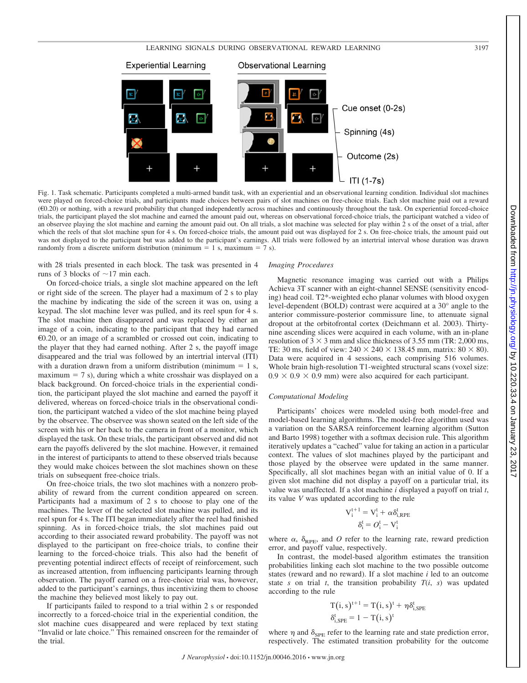

Fig. 1. Task schematic. Participants completed a multi-armed bandit task, with an experiential and an observational learning condition. Individual slot machines were played on forced-choice trials, and participants made choices between pairs of slot machines on free-choice trials. Each slot machine paid out a reward (€0.20) or nothing, with a reward probability that changed independently across machines and continuously throughout the task. On experiential forced-choice trials, the participant played the slot machine and earned the amount paid out, whereas on observational forced-choice trials, the participant watched a video of an observee playing the slot machine and earning the amount paid out. On all trials, a slot machine was selected for play within 2 s of the onset of a trial, after which the reels of that slot machine spun for 4 s. On forced-choice trials, the amount paid out was displayed for 2 s. On free-choice trials, the amount paid out was not displayed to the participant but was added to the participant's earnings. All trials were followed by an intertrial interval whose duration was drawn randomly from a discrete uniform distribution (minimum  $= 1$  s, maximum  $= 7$  s).

with 28 trials presented in each block. The task was presented in 4 runs of 3 blocks of  $\sim$ 17 min each.

On forced-choice trials, a single slot machine appeared on the left or right side of the screen. The player had a maximum of 2 s to play the machine by indicating the side of the screen it was on, using a keypad. The slot machine lever was pulled, and its reel spun for 4 s. The slot machine then disappeared and was replaced by either an image of a coin, indicating to the participant that they had earned  $\epsilon$ 0.20, or an image of a scrambled or crossed out coin, indicating to the player that they had earned nothing. After 2 s, the payoff image disappeared and the trial was followed by an intertrial interval (ITI) with a duration drawn from a uniform distribution (minimum  $= 1$  s,  $maximum = 7$  s), during which a white crosshair was displayed on a black background. On forced-choice trials in the experiential condition, the participant played the slot machine and earned the payoff it delivered, whereas on forced-choice trials in the observational condition, the participant watched a video of the slot machine being played by the observee. The observee was shown seated on the left side of the screen with his or her back to the camera in front of a monitor, which displayed the task. On these trials, the participant observed and did not earn the payoffs delivered by the slot machine. However, it remained in the interest of participants to attend to these observed trials because they would make choices between the slot machines shown on these trials on subsequent free-choice trials.

On free-choice trials, the two slot machines with a nonzero probability of reward from the current condition appeared on screen. Participants had a maximum of 2 s to choose to play one of the machines. The lever of the selected slot machine was pulled, and its reel spun for 4 s. The ITI began immediately after the reel had finished spinning. As in forced-choice trials, the slot machines paid out according to their associated reward probability. The payoff was not displayed to the participant on free-choice trials, to confine their learning to the forced-choice trials. This also had the benefit of preventing potential indirect effects of receipt of reinforcement, such as increased attention, from influencing participants learning through observation. The payoff earned on a free-choice trial was, however, added to the participant's earnings, thus incentivizing them to choose the machine they believed most likely to pay out.

If participants failed to respond to a trial within 2 s or responded incorrectly to a forced-choice trial in the experiential condition, the slot machine cues disappeared and were replaced by text stating "Invalid or late choice." This remained onscreen for the remainder of the trial.

# *Imaging Procedures*

Magnetic resonance imaging was carried out with a Philips Achieva 3T scanner with an eight-channel SENSE (sensitivity encoding) head coil. T2\*-weighted echo planar volumes with blood oxygen level-dependent (BOLD) contrast were acquired at a 30° angle to the anterior commissure-posterior commissure line, to attenuate signal dropout at the orbitofrontal cortex (Deichmann et al. 2003). Thirtynine ascending slices were acquired in each volume, with an in-plane resolution of  $3 \times 3$  mm and slice thickness of 3.55 mm (TR: 2,000 ms, TE: 30 ms, field of view:  $240 \times 240 \times 138.45$  mm, matrix:  $80 \times 80$ ). Data were acquired in 4 sessions, each comprising 516 volumes. Whole brain high-resolution T1-weighted structural scans (voxel size:  $0.9 \times 0.9 \times 0.9$  mm) were also acquired for each participant.

# *Computational Modeling*

Participants' choices were modeled using both model-free and model-based learning algorithms. The model-free algorithm used was a variation on the SARSA reinforcement learning algorithm (Sutton and Barto 1998) together with a softmax decision rule. This algorithm iteratively updates a "cached" value for taking an action in a particular context. The values of slot machines played by the participant and those played by the observee were updated in the same manner. Specifically, all slot machines began with an initial value of 0. If a given slot machine did not display a payoff on a particular trial, its value was unaffected. If a slot machine *i* displayed a payoff on trial *t*, its value *V* was updated according to the rule

$$
V_i^{t+1} = V_i^t + \alpha \delta_{i, RPE}^t
$$

$$
\delta_i^t = O_i^t - V_i^t
$$

where  $\alpha$ ,  $\delta_{\text{RPE}}$ , and *O* refer to the learning rate, reward prediction error, and payoff value, respectively.

In contrast, the model-based algorithm estimates the transition probabilities linking each slot machine to the two possible outcome states (reward and no reward). If a slot machine *i* led to an outcome state *s* on trial *t*, the transition probability  $T(i, s)$  was updated according to the rule

$$
T(i, s)^{t+1} = T(i, s)^{t} + \eta \delta_{i, \text{SPE}}^{t}
$$

$$
\delta_{i, \text{SPE}}^{t} = 1 - T(i, s)^{t}
$$

where  $\eta$  and  $\delta_{\text{SPE}}$  refer to the learning rate and state prediction error, respectively. The estimated transition probability for the outcome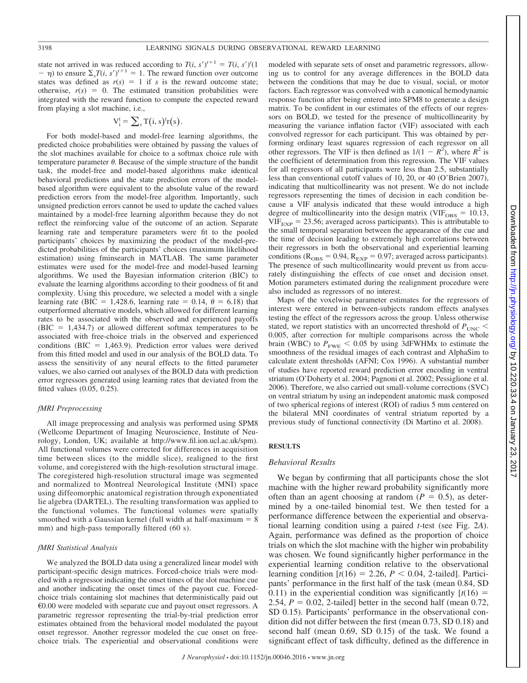state not arrived in was reduced according to  $T(i, s')^{t+1} = T(i, s')^{t} (1$  $(-\eta)$  to ensure  $\sum_{s} T(i, s')^{t+1} = 1$ . The reward function over outcome states was defined as  $r(s) = 1$  if *s* is the reward outcome state; otherwise,  $r(s) = 0$ . The estimated transition probabilities were integrated with the reward function to compute the expected reward from playing a slot machine, i.e.,

$$
V_i^t = \sum_s T(i, s)^t r(s).
$$

For both model-based and model-free learning algorithms, the predicted choice probabilities were obtained by passing the values of the slot machines available for choice to a softmax choice rule with temperature parameter  $\theta$ . Because of the simple structure of the bandit task, the model-free and model-based algorithms make identical behavioral predictions and the state prediction errors of the modelbased algorithm were equivalent to the absolute value of the reward prediction errors from the model-free algorithm. Importantly, such unsigned prediction errors cannot be used to update the cached values maintained by a model-free learning algorithm because they do not reflect the reinforcing value of the outcome of an action. Separate learning rate and temperature parameters were fit to the pooled participants' choices by maximizing the product of the model-predicted probabilities of the participants' choices (maximum likelihood estimation) using fminsearch in MATLAB. The same parameter estimates were used for the model-free and model-based learning algorithms. We used the Bayesian information criterion (BIC) to evaluate the learning algorithms according to their goodness of fit and complexity. Using this procedure, we selected a model with a single learning rate (BIC = 1,428.6, learning rate = 0.14,  $\theta$  = 6.18) that outperformed alternative models, which allowed for different learning rates to be associated with the observed and experienced payoffs  $(BIC = 1,434.7)$  or allowed different softmax temperatures to be associated with free-choice trials in the observed and experienced conditions (BIC =  $1,463.9$ ). Prediction error values were derived from this fitted model and used in our analysis of the BOLD data. To assess the sensitivity of any neural effects to the fitted parameter values, we also carried out analyses of the BOLD data with prediction error regressors generated using learning rates that deviated from the fitted values (0.05, 0.25).

#### *fMRI Preprocessing*

All image preprocessing and analysis was performed using SPM8 (Wellcome Department of Imaging Neuroscience, Institute of Neurology, London, UK; available at [http://www.fil.ion.ucl.ac.uk/spm\)](http://www.fil.ion.ucl.ac.uk/spm). All functional volumes were corrected for differences in acquisition time between slices (to the middle slice), realigned to the first volume, and coregistered with the high-resolution structural image. The coregistered high-resolution structural image was segmented and normalized to Montreal Neurological Institute (MNI) space using diffeomorphic anatomical registration through exponentiated lie algebra (DARTEL). The resulting transformation was applied to the functional volumes. The functional volumes were spatially smoothed with a Gaussian kernel (full width at half-maximum  $= 8$ mm) and high-pass temporally filtered (60 s).

# *fMRI Statistical Analysis*

We analyzed the BOLD data using a generalized linear model with participant-specific design matrices. Forced-choice trials were modeled with a regressor indicating the onset times of the slot machine cue and another indicating the onset times of the payout cue. Forcedchoice trials containing slot machines that deterministically paid out €0.00 were modeled with separate cue and payout onset regressors. A parametric regressor representing the trial-by-trial prediction error estimates obtained from the behavioral model modulated the payout onset regressor. Another regressor modeled the cue onset on freechoice trials. The experiential and observational conditions were

modeled with separate sets of onset and parametric regressors, allowing us to control for any average differences in the BOLD data between the conditions that may be due to visual, social, or motor factors. Each regressor was convolved with a canonical hemodynamic response function after being entered into SPM8 to generate a design matrix. To be confident in our estimates of the effects of our regressors on BOLD, we tested for the presence of multicollinearity by measuring the variance inflation factor (VIF) associated with each convolved regressor for each participant. This was obtained by performing ordinary least squares regression of each regressor on all other regressors. The VIF is then defined as  $1/(1 - R^2)$ , where  $R^2$  is the coefficient of determination from this regression. The VIF values for all regressors of all participants were less than 2.5, substantially less than conventional cutoff values of 10, 20, or 40 (O'Brien 2007), indicating that multicollinearity was not present. We do not include regressors representing the times of decision in each condition because a VIF analysis indicated that these would introduce a high degree of multicollinearity into the design matrix ( $VIF<sub>OBS</sub> = 10.13$ ,  $VIF_{EXP} = 23.56$ ; averaged across participants). This is attributable to the small temporal separation between the appearance of the cue and the time of decision leading to extremely high correlations between their regressors in both the observational and experiential learning conditions ( $R_{OBS} = 0.94$ ,  $R_{EXP} = 0.97$ ; averaged across participants). The presence of such multicollinearity would prevent us from accurately distinguishing the effects of cue onset and decision onset. Motion parameters estimated during the realignment procedure were also included as regressors of no interest.

Maps of the voxelwise parameter estimates for the regressors of interest were entered in between-subjects random effects analyses testing the effect of the regressors across the group. Unless otherwise stated, we report statistics with an uncorrected threshold of  $P_{\text{UNC}}$  < 0.005, after correction for multiple comparisons across the whole brain (WBC) to  $P_{\text{FWE}}$  < 0.05 by using 3dFWHMx to estimate the smoothness of the residual images of each contrast and AlphaSim to calculate extent thresholds (AFNI; Cox 1996). A substantial number of studies have reported reward prediction error encoding in ventral striatum (O'Doherty et al. 2004; Pagnoni et al. 2002; Pessiglione et al. 2006). Therefore, we also carried out small-volume corrections (SVC) on ventral striatum by using an independent anatomic mask composed of two spherical regions of interest (ROI) of radius 5 mm centered on the bilateral MNI coordinates of ventral striatum reported by a previous study of functional connectivity (Di Martino et al. 2008).

# **RESULTS**

## *Behavioral Results*

We began by confirming that all participants chose the slot machine with the higher reward probability significantly more often than an agent choosing at random  $(P = 0.5)$ , as determined by a one-tailed binomial test. We then tested for a performance difference between the experiential and observational learning condition using a paired *t*-test (see Fig. 2*A*). Again, performance was defined as the proportion of choice trials on which the slot machine with the higher win probability was chosen. We found significantly higher performance in the experiential learning condition relative to the observational learning condition  $[t(16) = 2.26, P < 0.04, 2$ -tailed]. Participants' performance in the first half of the task (mean 0.84, SD 0.11) in the experiential condition was significantly  $[t(16) =$ 2.54,  $P = 0.02$ , 2-tailed] better in the second half (mean 0.72, SD 0.15). Participants' performance in the observational condition did not differ between the first (mean 0.73, SD 0.18) and second half (mean 0.69, SD 0.15) of the task. We found a significant effect of task difficulty, defined as the difference in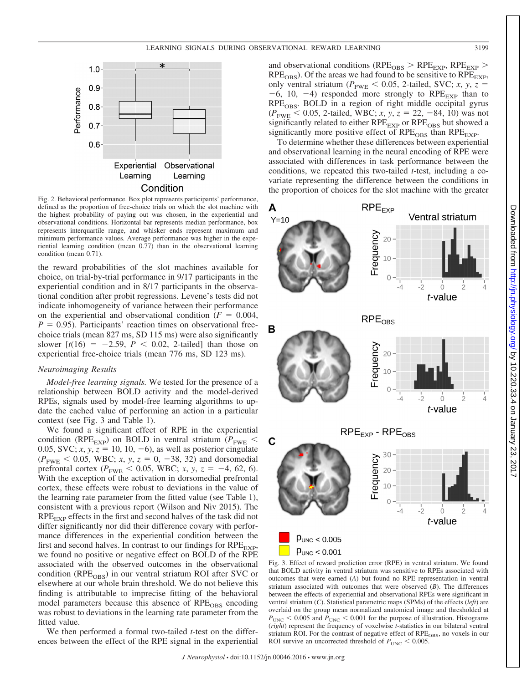

Fig. 2. Behavioral performance. Box plot represents participants' performance, defined as the proportion of free-choice trials on which the slot machine with the highest probability of paying out was chosen, in the experiential and observational conditions. Horizontal bar represents median performance, box represents interquartile range, and whisker ends represent maximum and minimum performance values. Average performance was higher in the experiential learning condition (mean 0.77) than in the observational learning condition (mean 0.71).

the reward probabilities of the slot machines available for choice, on trial-by-trial performance in 9/17 participants in the experiential condition and in 8/17 participants in the observational condition after probit regressions. Levene's tests did not indicate inhomogeneity of variance between their performance on the experiential and observational condition ( $F = 0.004$ ,  $P = 0.95$ ). Participants' reaction times on observational freechoice trials (mean 827 ms, SD 115 ms) were also significantly slower  $[t(16) = -2.59, P < 0.02, 2$ -tailed] than those on experiential free-choice trials (mean 776 ms, SD 123 ms).

# *Neuroimaging Results*

*Model-free learning signals.* We tested for the presence of a relationship between BOLD activity and the model-derived RPEs, signals used by model-free learning algorithms to update the cached value of performing an action in a particular context (see Fig. 3 and Table 1).

We found a significant effect of RPE in the experiential condition (RPE<sub>EXP</sub>) on BOLD in ventral striatum ( $P_{\text{FWE}}$  < 0.05, SVC;  $x$ ,  $y$ ,  $z = 10$ , 10, -6), as well as posterior cingulate  $(P_{\text{FWE}} < 0.05, \text{ WBC}; x, y, z = 0, -38, 32)$  and dorsomedial prefrontal cortex ( $P_{\text{FWE}}$  < 0.05, WBC; *x*, *y*, *z* = -4, 62, 6). With the exception of the activation in dorsomedial prefrontal cortex, these effects were robust to deviations in the value of the learning rate parameter from the fitted value (see Table 1), consistent with a previous report (Wilson and Niv 2015). The RPE<sub>EXP</sub> effects in the first and second halves of the task did not differ significantly nor did their difference covary with performance differences in the experiential condition between the first and second halves. In contrast to our findings for  $RPE<sub>EXP</sub>$ , we found no positive or negative effect on BOLD of the RPE associated with the observed outcomes in the observational condition (RPE<sub>OBS</sub>) in our ventral striatum ROI after SVC or elsewhere at our whole brain threshold. We do not believe this finding is attributable to imprecise fitting of the behavioral model parameters because this absence of RPE<sub>OBS</sub> encoding was robust to deviations in the learning rate parameter from the fitted value.

We then performed a formal two-tailed *t*-test on the differences between the effect of the RPE signal in the experiential

and observational conditions (RPE<sub>OBS</sub>  $>$  RPE<sub>EXP</sub>, RPE<sub>EXP</sub>  $>$  $RPE<sub>OBS</sub>$ ). Of the areas we had found to be sensitive to  $RPE<sub>EXP</sub>$ only ventral striatum ( $P_{\text{FWE}}$  < 0.05, 2-tailed, SVC; *x*, *y*, *z* =  $-6$ , 10,  $-4$ ) responded more strongly to RPE<sub>EXP</sub> than to  $RPE<sub>OBS</sub>$ . BOLD in a region of right middle occipital gyrus  $(P_{\text{FWE}} < 0.05, 2$ -tailed, WBC; *x*, *y*, *z* = 22, -84, 10) was not significantly related to either  $RPE_{EXP}$  or  $RPE_{OBS}$  but showed a significantly more positive effect of  $RPE<sub>OBS</sub>$  than  $RPE<sub>EXP</sub>$ .

To determine whether these differences between experiential and observational learning in the neural encoding of RPE were associated with differences in task performance between the conditions, we repeated this two-tailed *t*-test, including a covariate representing the difference between the conditions in the proportion of choices for the slot machine with the greater



2017

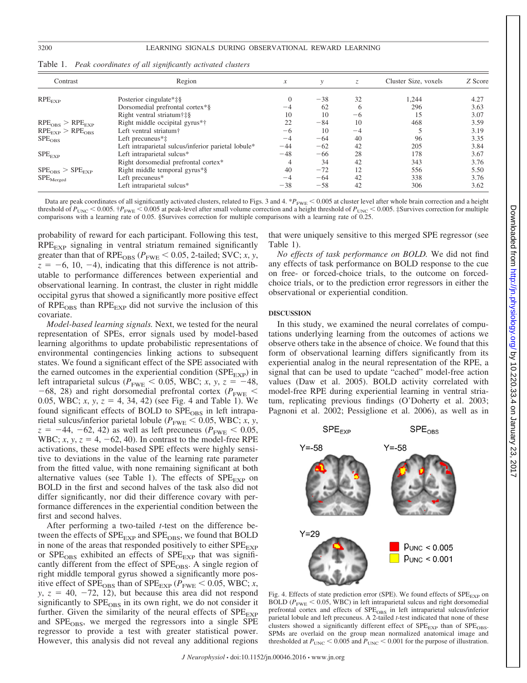| Contrast                         | Region                                              | $\mathcal{X}$ |                  | Z.           | Cluster Size, voxels | Z Score |
|----------------------------------|-----------------------------------------------------|---------------|------------------|--------------|----------------------|---------|
| $RPE_{EXP}$                      | Posterior cingulate*‡§                              |               | $-38$            | 32           | 1,244                | 4.27    |
|                                  | Dorsomedial prefrontal cortex*§                     | -4            | 62               | <sub>0</sub> | 296                  | 3.63    |
|                                  | Right ventral striatum $\ddagger \ddagger \S$       | 10            | 10<br>15<br>$-6$ | 3.07         |                      |         |
| $RPE_{OBS}$ > $RPE_{EXP}$        | Right middle occipital gyrus*†                      | 22            | $-84$            | 10           | 468                  | 3.59    |
| $RPE_{EXP}$ > $RPE_{OBS}$        | Left ventral striatum <sup>+</sup>                  | -6            | 10               | $-4$         |                      | 3.19    |
| $SPE_{OBS}$                      | Left precuneus $*$ :                                | $-4$          | $-64$            | 40           | 96                   | 3.35    |
|                                  | Left intraparietal sulcus/inferior parietal lobule* | $-44$         | $-62$            | 42           | 205                  | 3.84    |
| $SPE_{EXP}$                      | Left intraparietal sulcus*                          | $-48$         | $-66$            | 28           | 178                  | 3.67    |
|                                  | Right dorsomedial prefrontal cortex*                |               | 34               | 42           | 343                  | 3.76    |
| $SPE_{OBS}$ > $SPE_{EXP}$        | Right middle temporal gyrus*§                       | 40            | $-72$            | 12           | 556                  | 5.50    |
| $\mathrm{SPE}_{\mathrm{Merged}}$ | Left precuneus*                                     | $-4$          | $-64$            | 42           | 338                  | 3.76    |
|                                  | Left intraparietal sulcus*                          | $-38$         | $-58$            | 42           | 306                  | 3.62    |

| Table 1. Peak coordinates of all significantly activated clusters |  |  |  |  |  |
|-------------------------------------------------------------------|--|--|--|--|--|
|-------------------------------------------------------------------|--|--|--|--|--|

Data are peak coordinates of all significantly activated clusters, related to Figs. 3 and 4. \**P*<sub>FWE</sub> < 0.005 at cluster level after whole brain correction and a height threshold of  $P_{\text{UNC}} < 0.005$ .  $\frac{1}{7}P_{\text{FWE}} < 0.005$  at peak-level after small volume correction and a height threshold of  $P_{\text{UNC}} < 0.005$ . ‡Survives correction for multiple comparisons with a learning rate of 0.05. §Survives correction for multiple comparisons with a learning rate of 0.25.

probability of reward for each participant. Following this test,  $RPE<sub>EXP</sub>$  signaling in ventral striatum remained significantly greater than that of RPE<sub>OBS</sub> ( $P_{\text{FWE}}$  < 0.05, 2-tailed; SVC; *x*, *y*,  $z = -6$ , 10, -4), indicating that this difference is not attributable to performance differences between experiential and observational learning. In contrast, the cluster in right middle occipital gyrus that showed a significantly more positive effect of  $RPE<sub>OBS</sub>$  than  $RPE<sub>EXP</sub>$  did not survive the inclusion of this covariate.

*Model-based learning signals.* Next, we tested for the neural representation of SPEs, error signals used by model-based learning algorithms to update probabilistic representations of environmental contingencies linking actions to subsequent states. We found a significant effect of the SPE associated with the earned outcomes in the experiential condition ( $SPE<sub>EXP</sub>$ ) in left intraparietal sulcus ( $P_{\text{FWE}} < 0.05$ , WBC;  $x, y, z = -48$ ,  $-68$ , 28) and right dorsomedial prefrontal cortex ( $P_{\text{FWE}}$   $<$ 0.05, WBC;  $x, y, z = 4, 34, 42$ ) (see Fig. 4 and Table 1). We found significant effects of BOLD to SPE<sub>OBS</sub> in left intraparietal sulcus/inferior parietal lobule ( $P_{\text{FWE}}$   $\leq$  0.05, WBC; *x*, *y*,  $z = -44, -62, 42$ ) as well as left precuneus ( $P_{\text{FWE}} < 0.05$ , WBC;  $x, y, z = 4, -62, 40$ ). In contrast to the model-free RPE activations, these model-based SPE effects were highly sensitive to deviations in the value of the learning rate parameter from the fitted value, with none remaining significant at both alternative values (see Table 1). The effects of  $SPE_{EXP}$  on BOLD in the first and second halves of the task also did not differ significantly, nor did their difference covary with performance differences in the experiential condition between the first and second halves.

After performing a two-tailed *t*-test on the difference between the effects of  $SPE<sub>EXP</sub>$  and  $SPE<sub>OBS</sub>$ , we found that BOLD in none of the areas that responded positively to either  $SPE_{EXP}$ or  $SPE<sub>OBS</sub>$  exhibited an effects of  $SPE<sub>EXP</sub>$  that was significantly different from the effect of SPE<sub>OBS</sub>. A single region of right middle temporal gyrus showed a significantly more positive effect of SPE<sub>OBS</sub> than of SPE<sub>EXP</sub> ( $P_{\text{FWE}}$  < 0.05, WBC; *x*,  $y, z = 40, -72, 12$ , but because this area did not respond significantly to  $SPE<sub>OBS</sub>$  in its own right, we do not consider it further. Given the similarity of the neural effects of  $SPE<sub>EXP</sub>$ and  $SPE<sub>ORS</sub>$ , we merged the regressors into a single  $SPE$ regressor to provide a test with greater statistical power. However, this analysis did not reveal any additional regions that were uniquely sensitive to this merged SPE regressor (see Table 1).

*No effects of task performance on BOLD.* We did not find any effects of task performance on BOLD response to the cue on free- or forced-choice trials, to the outcome on forcedchoice trials, or to the prediction error regressors in either the observational or experiential condition.

# **DISCUSSION**

In this study, we examined the neural correlates of computations underlying learning from the outcomes of actions we observe others take in the absence of choice. We found that this form of observational learning differs significantly from its experiential analog in the neural representation of the RPE, a signal that can be used to update "cached" model-free action values (Daw et al. 2005). BOLD activity correlated with model-free RPE during experiential learning in ventral striatum, replicating previous findings (O'Doherty et al. 2003; Pagnoni et al. 2002; Pessiglione et al. 2006), as well as in



Fig. 4. Effects of state prediction error (SPE). We found effects of  $SPE_{EXP}$  on BOLD ( $P_{\text{FWE}}$  < 0.05, WBC) in left intraparietal sulcus and right dorsomedial prefrontal cortex and effects of SPE<sub>OBS</sub> in left intraparietal sulcus/inferior parietal lobule and left precuneus. A 2-tailed *t*-test indicated that none of these clusters showed a significantly different effect of  $SPE<sub>EXP</sub>$  than of  $SPE<sub>OBS</sub>$ . SPMs are overlaid on the group mean normalized anatomical image and thresholded at  $P_{\text{UNC}}$  < 0.005 and  $P_{\text{UNC}}$  < 0.001 for the purpose of illustration.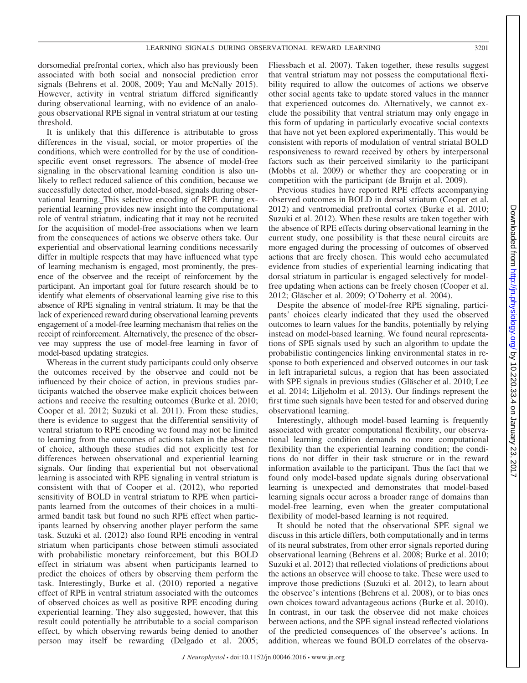dorsomedial prefrontal cortex, which also has previously been associated with both social and nonsocial prediction error signals (Behrens et al. 2008, 2009; Yau and McNally 2015). However, activity in ventral striatum differed significantly during observational learning, with no evidence of an analogous observational RPE signal in ventral striatum at our testing threshold.

It is unlikely that this difference is attributable to gross differences in the visual, social, or motor properties of the conditions, which were controlled for by the use of conditionspecific event onset regressors. The absence of model-free signaling in the observational learning condition is also unlikely to reflect reduced salience of this condition, because we successfully detected other, model-based, signals during observational learning. This selective encoding of RPE during experiential learning provides new insight into the computational role of ventral striatum, indicating that it may not be recruited for the acquisition of model-free associations when we learn from the consequences of actions we observe others take. Our experiential and observational learning conditions necessarily differ in multiple respects that may have influenced what type of learning mechanism is engaged, most prominently, the presence of the observee and the receipt of reinforcement by the participant. An important goal for future research should be to identify what elements of observational learning give rise to this absence of RPE signaling in ventral striatum. It may be that the lack of experienced reward during observational learning prevents engagement of a model-free learning mechanism that relies on the receipt of reinforcement. Alternatively, the presence of the observee may suppress the use of model-free learning in favor of model-based updating strategies.

Whereas in the current study participants could only observe the outcomes received by the observee and could not be influenced by their choice of action, in previous studies participants watched the observee make explicit choices between actions and receive the resulting outcomes (Burke et al. 2010; Cooper et al. 2012; Suzuki et al. 2011). From these studies, there is evidence to suggest that the differential sensitivity of ventral striatum to RPE encoding we found may not be limited to learning from the outcomes of actions taken in the absence of choice, although these studies did not explicitly test for differences between observational and experiential learning signals. Our finding that experiential but not observational learning is associated with RPE signaling in ventral striatum is consistent with that of Cooper et al. (2012), who reported sensitivity of BOLD in ventral striatum to RPE when participants learned from the outcomes of their choices in a multiarmed bandit task but found no such RPE effect when participants learned by observing another player perform the same task. Suzuki et al. (2012) also found RPE encoding in ventral striatum when participants chose between stimuli associated with probabilistic monetary reinforcement, but this BOLD effect in striatum was absent when participants learned to predict the choices of others by observing them perform the task. Interestingly, Burke et al. (2010) reported a negative effect of RPE in ventral striatum associated with the outcomes of observed choices as well as positive RPE encoding during experiential learning. They also suggested, however, that this result could potentially be attributable to a social comparison effect, by which observing rewards being denied to another person may itself be rewarding (Delgado et al. 2005;

Fliessbach et al. 2007). Taken together, these results suggest that ventral striatum may not possess the computational flexibility required to allow the outcomes of actions we observe other social agents take to update stored values in the manner that experienced outcomes do. Alternatively, we cannot exclude the possibility that ventral striatum may only engage in this form of updating in particularly evocative social contexts that have not yet been explored experimentally. This would be consistent with reports of modulation of ventral striatal BOLD responsiveness to reward received by others by interpersonal factors such as their perceived similarity to the participant (Mobbs et al. 2009) or whether they are cooperating or in competition with the participant (de Bruijn et al. 2009).

Previous studies have reported RPE effects accompanying observed outcomes in BOLD in dorsal striatum (Cooper et al. 2012) and ventromedial prefrontal cortex (Burke et al. 2010; Suzuki et al. 2012). When these results are taken together with the absence of RPE effects during observational learning in the current study, one possibility is that these neural circuits are more engaged during the processing of outcomes of observed actions that are freely chosen. This would echo accumulated evidence from studies of experiential learning indicating that dorsal striatum in particular is engaged selectively for modelfree updating when actions can be freely chosen (Cooper et al. 2012; Gläscher et al. 2009; O'Doherty et al. 2004).

Despite the absence of model-free RPE signaling, participants' choices clearly indicated that they used the observed outcomes to learn values for the bandits, potentially by relying instead on model-based learning. We found neural representations of SPE signals used by such an algorithm to update the probabilistic contingencies linking environmental states in response to both experienced and observed outcomes in our task in left intraparietal sulcus, a region that has been associated with SPE signals in previous studies (Gläscher et al. 2010; Lee et al. 2014; Liljeholm et al. 2013). Our findings represent the first time such signals have been tested for and observed during observational learning.

Interestingly, although model-based learning is frequently associated with greater computational flexibility, our observational learning condition demands no more computational flexibility than the experiential learning condition; the conditions do not differ in their task structure or in the reward information available to the participant. Thus the fact that we found only model-based update signals during observational learning is unexpected and demonstrates that model-based learning signals occur across a broader range of domains than model-free learning, even when the greater computational flexibility of model-based learning is not required.

It should be noted that the observational SPE signal we discuss in this article differs, both computationally and in terms of its neural substrates, from other error signals reported during observational learning (Behrens et al. 2008; Burke et al. 2010; Suzuki et al. 2012) that reflected violations of predictions about the actions an observee will choose to take. These were used to improve those predictions (Suzuki et al. 2012), to learn about the observee's intentions (Behrens et al. 2008), or to bias ones own choices toward advantageous actions (Burke et al. 2010). In contrast, in our task the observee did not make choices between actions, and the SPE signal instead reflected violations of the predicted consequences of the observee's actions. In addition, whereas we found BOLD correlates of the observa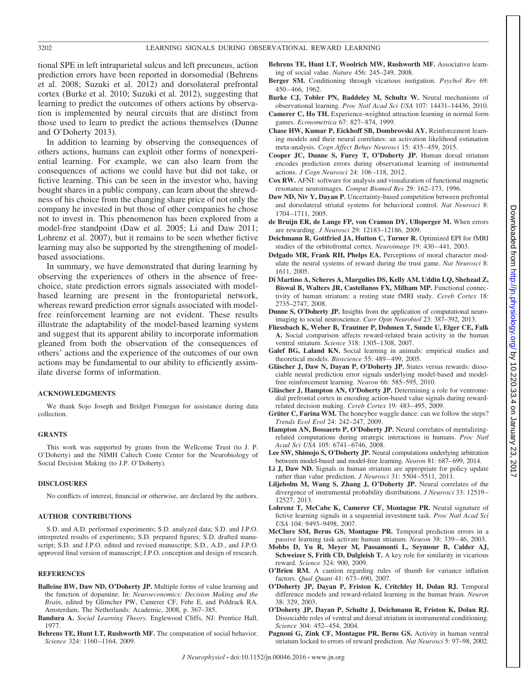tional SPE in left intraparietal sulcus and left precuneus, action prediction errors have been reported in dorsomedial (Behrens et al. 2008; Suzuki et al. 2012) and dorsolateral prefrontal cortex (Burke et al. 2010; Suzuki et al. 2012), suggesting that learning to predict the outcomes of others actions by observation is implemented by neural circuits that are distinct from those used to learn to predict the actions themselves (Dunne and O'Doherty 2013).

In addition to learning by observing the consequences of others actions, humans can exploit other forms of nonexperiential learning. For example, we can also learn from the consequences of actions we could have but did not take, or fictive learning. This can be seen in the investor who, having bought shares in a public company, can learn about the shrewdness of his choice from the changing share price of not only the company he invested in but those of other companies he chose not to invest in. This phenomenon has been explored from a model-free standpoint (Daw et al. 2005; Li and Daw 2011; Lohrenz et al. 2007), but it remains to be seen whether fictive learning may also be supported by the strengthening of modelbased associations.

In summary, we have demonstrated that during learning by observing the experiences of others in the absence of freechoice, state prediction errors signals associated with modelbased learning are present in the frontoparietal network, whereas reward prediction error signals associated with modelfree reinforcement learning are not evident. These results illustrate the adaptability of the model-based learning system and suggest that its apparent ability to incorporate information gleaned from both the observation of the consequences of others' actions and the experience of the outcomes of our own actions may be fundamental to our ability to efficiently assimilate diverse forms of information.

# **ACKNOWLEDGMENTS**

We thank Sojo Joseph and Bridget Finnegan for assistance during data collection.

# **GRANTS**

This work was supported by grants from the Wellcome Trust (to J. P. O'Doherty) and the NIMH Caltech Conte Center for the Neurobiology of Social Decision Making (to J.P. O'Doherty).

# **DISCLOSURES**

No conflicts of interest, financial or otherwise, are declared by the authors.

# **AUTHOR CONTRIBUTIONS**

S.D. and A.D. performed experiments; S.D. analyzed data; S.D. and J.P.O. interpreted results of experiments; S.D. prepared figures; S.D. drafted manuscript; S.D. and J.P.O. edited and revised manuscript; S.D., A.D., and J.P.O. approved final version of manuscript; J.P.O. conception and design of research.

#### **REFERENCES**

- **Balleine BW, Daw ND, O'Doherty JP.** Multiple forms of value learning and the function of dopamine. In: *Neuroeconomics: Decision Making and the Brain*, edited by Glimcher PW, Camerer CF, Fehr E, and Poldrack RA. Amsterdam, The Netherlands: Academic, 2008, p. 367–385.
- **Bandura A.** *Social Learning Theory*. Englewood Cliffs, NJ: Prentice Hall, 1977.
- **Behrens TE, Hunt LT, Rushworth MF.** The computation of social behavior. *Science* 324: 1160 –1164, 2009.
- **Behrens TE, Hunt LT, Woolrich MW, Rushworth MF.** Associative learning of social value. *Nature* 456: 245–249, 2008.
- **Berger SM.** Conditioning through vicarious instigation. *Psychol Rev* 69: 450 – 466, 1962.
- **Burke CJ, Tobler PN, Baddeley M, Schultz W.** Neural mechanisms of observational learning. *Proc Natl Acad Sci USA* 107: 14431–14436, 2010.
- **Camerer C, Ho TH.** Experience-weighted attraction learning in normal form games. *Econometrica* 67: 827-874, 1999.
- **Chase HW, Kumar P, Eickhoff SB, Dombrovski AY.** Reinforcement learning models and their neural correlates: an activation likelihood estimation meta-analysis. *Cogn Affect Behav Neurosci* 15: 435– 459, 2015.
- **Cooper JC, Dunne S, Furey T, O'Doherty JP.** Human dorsal striatum encodes prediction errors during observational learning of instrumental actions. *J Cogn Neurosci* 24: 106 –118, 2012.
- **Cox RW.** AFNI: software for analysis and visualization of functional magnetic resonance neuroimages. *Comput Biomed Res* 29: 162–173, 1996.
- **Daw ND, Niv Y, Dayan P.** Uncertainty-based competition between prefrontal and dorsolateral striatal systems for behavioral control. *Nat Neurosci* 8: 1704 –1711, 2005.
- **de Bruijn ER, de Lange FP, von Cramon DY, Ullsperger M.** When errors are rewarding. *J Neurosci* 29: 12183–12186, 2009.
- **Deichmann R, Gottfried JA, Hutton C, Turner R.** Optimized EPI for fMRI studies of the orbitofrontal cortex. *Neuroimage* 19: 430-441, 2003.
- **Delgado MR, Frank RH, Phelps EA.** Perceptions of moral character modulate the neural systems of reward during the trust game. *Nat Neurosci* 8: 1611, 2005.
- **Di Martino A, Scheres A, Margulies DS, Kelly AM, Uddin LQ, Shehzad Z, Biswal B, Walters JR, Castellanos FX, Milham MP.** Functional connectivity of human striatum: a resting state fMRI study. *Cereb Cortex* 18: 2735–2747, 2008.
- **Dunne S, O'Doherty JP.** Insights from the application of computational neuroimaging to social neuroscience. *Curr Opin Neurobiol* 23: 387–392, 2013.
- **Fliessbach K, Weber B, Trautner P, Dohmen T, Sunde U, Elger CE, Falk A.** Social comparison affects reward-related brain activity in the human ventral striatum. *Science* 318: 1305–1308, 2007.
- **Galef BG, Laland KN.** Social learning in animals: empirical studies and theoretical models. *Bioscience* 55: 489 – 499, 2005.
- **Gläscher J, Daw N, Dayan P, O'Doherty JP.** States versus rewards: dissociable neural prediction error signals underlying model-based and modelfree reinforcement learning. *Neuron* 66: 585–595, 2010.
- **Gläscher J, Hampton AN, O'Doherty JP.** Determining a role for ventromedial prefrontal cortex in encoding action-based value signals during rewardrelated decision making. *Cereb Cortex* 19: 483– 495, 2009.
- **Grüter C, Farina WM.** The honeybee waggle dance: can we follow the steps? *Trends Ecol Evol* 24: 242–247, 2009.
- **Hampton AN, Bossaerts P, O'Doherty JP.** Neural correlates of mentalizingrelated computations during strategic interactions in humans. *Proc Natl Acad Sci USA* 105: 6741– 6746, 2008.
- **Lee SW, Shimojo S, O'Doherty JP.** Neural computations underlying arbitration between model-based and model-free learning. *Neuron* 81: 687–699, 2014.
- **Li J, Daw ND.** Signals in human striatum are appropriate for policy update rather than value prediction. *J Neurosci* 31: 5504 –5511, 2011.
- **Liljeholm M, Wang S, Zhang J, O'Doherty JP.** Neural correlates of the divergence of instrumental probability distributions. *J Neurosci* 33: 12519 – 12527, 2013.
- **Lohrenz T, McCabe K, Camerer CF, Montague PR.** Neural signature of fictive learning signals in a sequential investment task. *Proc Natl Acad Sci USA* 104: 9493–9498, 2007.
- **McClure SM, Berns GS, Montague PR.** Temporal prediction errors in a passive learning task activate human striatum. *Neuron* 38: 339 – 46, 2003.
- **Mobbs D, Yu R, Meyer M, Passamonti L, Seymour B, Calder AJ, Schweizer S, Frith CD, Dalgleish T.** A key role for similarity in vicarious reward. *Science* 324: 900, 2009.
- **O'Brien RM.** A caution regarding rules of thumb for variance inflation factors. *Qual Quant* 41: 673– 690, 2007.
- **O'Doherty JP, Dayan P, Friston K, Critchley H, Dolan RJ.** Temporal difference models and reward-related learning in the human brain. *Neuron* 38: 329, 2003.
- **O'Doherty JP, Dayan P, Schultz J, Deichmann R, Friston K, Dolan RJ.** Dissociable roles of ventral and dorsal striatum in instrumental conditioning. *Science* 304: 452– 454, 2004.
- **Pagnoni G, Zink CF, Montague PR, Berns GS.** Activity in human ventral striatum locked to errors of reward prediction. *Nat Neurosci* 5: 97–98, 2002.